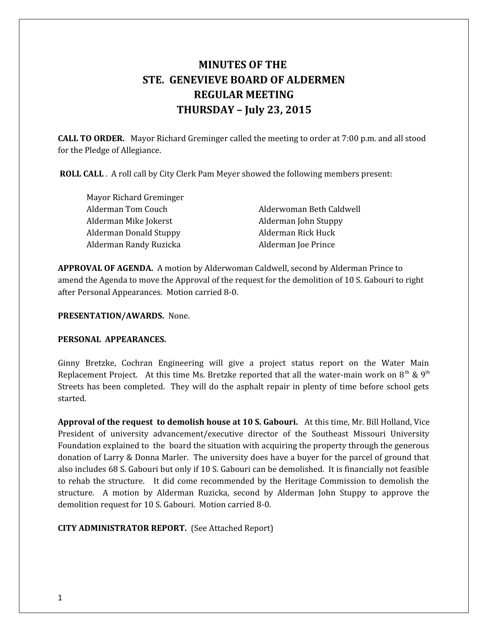# **MINUTES OF THE STE. GENEVIEVE BOARD OF ALDERMEN REGULAR MEETING THURSDAY – July 23, 2015**

**CALL TO ORDER.** Mayor Richard Greminger called the meeting to order at 7:00 p.m. and all stood for the Pledge of Allegiance.

 **ROLL CALL** . A roll call by City Clerk Pam Meyer showed the following members present:

Mayor Richard Greminger Alderman Tom Couch Alderwoman Beth Caldwell Alderman Mike Jokerst Alderman John Stuppy Alderman Donald Stuppy **Alderman Rick Huck** Alderman Randy Ruzicka Alderman Joe Prince

**APPROVAL OF AGENDA.** A motion by Alderwoman Caldwell, second by Alderman Prince to amend the Agenda to move the Approval of the request for the demolition of 10 S. Gabouri to right after Personal Appearances. Motion carried 8-0.

#### **PRESENTATION/AWARDS.** None.

#### **PERSONAL APPEARANCES.**

Ginny Bretzke, Cochran Engineering will give a project status report on the Water Main Replacement Project. At this time Ms. Bretzke reported that all the water-main work on  $8<sup>th</sup>$  &  $9<sup>th</sup>$ Streets has been completed. They will do the asphalt repair in plenty of time before school gets started.

**Approval of the request to demolish house at 10 S. Gabouri.** At this time, Mr. Bill Holland, Vice President of university advancement/executive director of the Southeast Missouri University Foundation explained to the board the situation with acquiring the property through the generous donation of Larry & Donna Marler. The university does have a buyer for the parcel of ground that also includes 68 S. Gabouri but only if 10 S. Gabouri can be demolished. It is financially not feasible to rehab the structure. It did come recommended by the Heritage Commission to demolish the structure. A motion by Alderman Ruzicka, second by Alderman John Stuppy to approve the demolition request for 10 S. Gabouri. Motion carried 8-0.

**CITY ADMINISTRATOR REPORT.** (See Attached Report)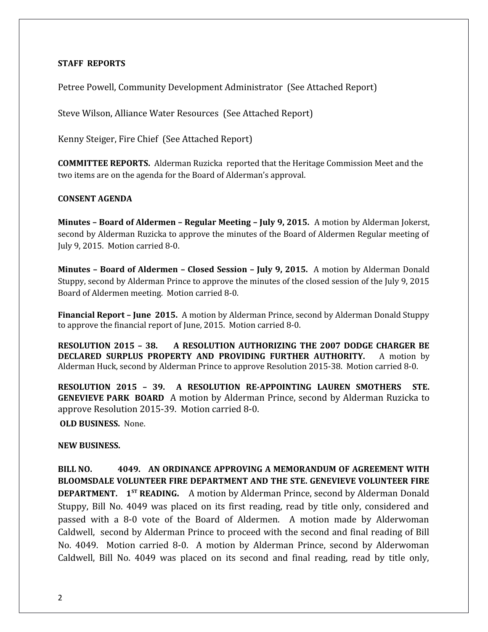#### **STAFF REPORTS**

Petree Powell, Community Development Administrator (See Attached Report)

Steve Wilson, Alliance Water Resources (See Attached Report)

Kenny Steiger, Fire Chief (See Attached Report)

**COMMITTEE REPORTS.** Alderman Ruzicka reported that the Heritage Commission Meet and the two items are on the agenda for the Board of Alderman's approval.

### **CONSENT AGENDA**

**Minutes – Board of Aldermen – Regular Meeting – July 9, 2015.** A motion by Alderman Jokerst, second by Alderman Ruzicka to approve the minutes of the Board of Aldermen Regular meeting of July 9, 2015. Motion carried 8-0.

**Minutes – Board of Aldermen – Closed Session – July 9, 2015.** A motion by Alderman Donald Stuppy, second by Alderman Prince to approve the minutes of the closed session of the July 9, 2015 Board of Aldermen meeting. Motion carried 8-0.

**Financial Report – June 2015.** A motion by Alderman Prince, second by Alderman Donald Stuppy to approve the financial report of June, 2015. Motion carried 8-0.

**RESOLUTION 2015 – 38. A RESOLUTION AUTHORIZING THE 2007 DODGE CHARGER BE DECLARED SURPLUS PROPERTY AND PROVIDING FURTHER AUTHORITY.** A motion by Alderman Huck, second by Alderman Prince to approve Resolution 2015-38. Motion carried 8-0.

**RESOLUTION 2015 – 39. A RESOLUTION RE-APPOINTING LAUREN SMOTHERS STE. GENEVIEVE PARK BOARD** A motion by Alderman Prince, second by Alderman Ruzicka to approve Resolution 2015-39. Motion carried 8-0.

**OLD BUSINESS.** None.

# **NEW BUSINESS.**

**BILL NO. 4049. AN ORDINANCE APPROVING A MEMORANDUM OF AGREEMENT WITH BLOOMSDALE VOLUNTEER FIRE DEPARTMENT AND THE STE. GENEVIEVE VOLUNTEER FIRE DEPARTMENT. 1ST READING.** A motion by Alderman Prince, second by Alderman Donald Stuppy, Bill No. 4049 was placed on its first reading, read by title only, considered and passed with a 8-0 vote of the Board of Aldermen. A motion made by Alderwoman Caldwell, second by Alderman Prince to proceed with the second and final reading of Bill No. 4049. Motion carried 8-0. A motion by Alderman Prince, second by Alderwoman Caldwell, Bill No. 4049 was placed on its second and final reading, read by title only,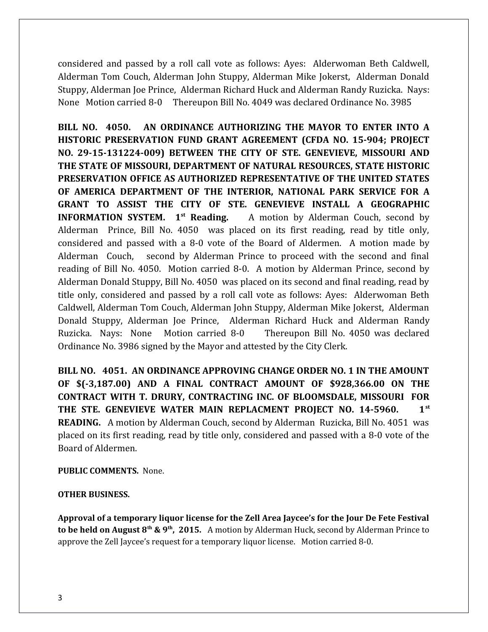considered and passed by a roll call vote as follows: Ayes: Alderwoman Beth Caldwell, Alderman Tom Couch, Alderman John Stuppy, Alderman Mike Jokerst, Alderman Donald Stuppy, Alderman Joe Prince, Alderman Richard Huck and Alderman Randy Ruzicka. Nays: None Motion carried 8-0 Thereupon Bill No. 4049 was declared Ordinance No. 3985

**BILL NO. 4050. AN ORDINANCE AUTHORIZING THE MAYOR TO ENTER INTO A HISTORIC PRESERVATION FUND GRANT AGREEMENT (CFDA NO. 15-904; PROJECT NO. 29-15-131224-009) BETWEEN THE CITY OF STE. GENEVIEVE, MISSOURI AND THE STATE OF MISSOURI, DEPARTMENT OF NATURAL RESOURCES, STATE HISTORIC PRESERVATION OFFICE AS AUTHORIZED REPRESENTATIVE OF THE UNITED STATES OF AMERICA DEPARTMENT OF THE INTERIOR, NATIONAL PARK SERVICE FOR A GRANT TO ASSIST THE CITY OF STE. GENEVIEVE INSTALL A GEOGRAPHIC INFORMATION SYSTEM.** 1<sup>st</sup> Reading. A motion by Alderman Couch, second by Alderman Prince, Bill No. 4050 was placed on its first reading, read by title only, considered and passed with a 8-0 vote of the Board of Aldermen. A motion made by Alderman Couch, second by Alderman Prince to proceed with the second and final reading of Bill No. 4050. Motion carried 8-0. A motion by Alderman Prince, second by Alderman Donald Stuppy, Bill No. 4050 was placed on its second and final reading, read by title only, considered and passed by a roll call vote as follows: Ayes: Alderwoman Beth Caldwell, Alderman Tom Couch, Alderman John Stuppy, Alderman Mike Jokerst, Alderman Donald Stuppy, Alderman Joe Prince, Alderman Richard Huck and Alderman Randy Ruzicka. Nays: None Motion carried 8-0 Thereupon Bill No. 4050 was declared Ordinance No. 3986 signed by the Mayor and attested by the City Clerk.

**BILL NO. 4051. AN ORDINANCE APPROVING CHANGE ORDER NO. 1 IN THE AMOUNT OF \$(-3,187.00) AND A FINAL CONTRACT AMOUNT OF \$928,366.00 ON THE CONTRACT WITH T. DRURY, CONTRACTING INC. OF BLOOMSDALE, MISSOURI FOR THE STE. GENEVIEVE WATER MAIN REPLACMENT PROJECT NO. 14-5960. 1st READING.** A motion by Alderman Couch, second by Alderman Ruzicka, Bill No. 4051 was placed on its first reading, read by title only, considered and passed with a 8-0 vote of the Board of Aldermen.

## **PUBLIC COMMENTS.** None.

#### **OTHER BUSINESS.**

**Approval of a temporary liquor license for the Zell Area Jaycee's for the Jour De Fete Festival to be held on August 8th & 9th, 2015.** A motion by Alderman Huck, second by Alderman Prince to approve the Zell Jaycee's request for a temporary liquor license. Motion carried 8-0.